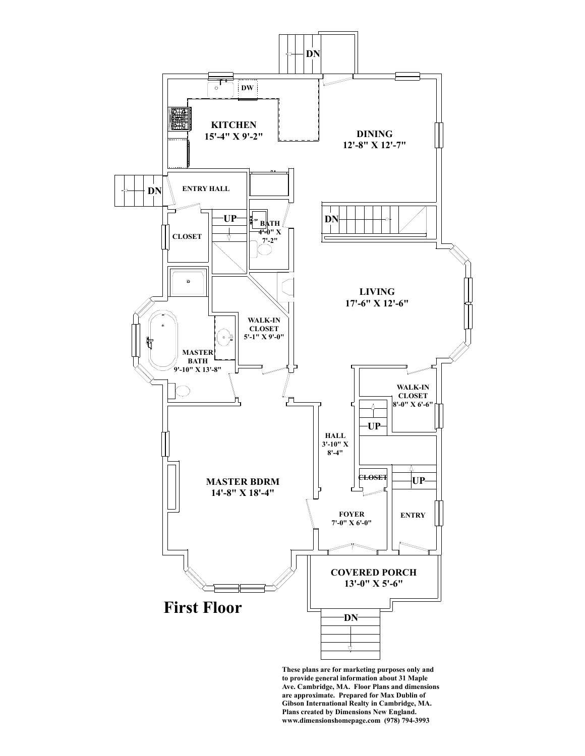

**to provide general information about 31 Maple Ave. Cambridge, MA. Floor Plans and dimensions are approximate. Prepared for Max Dublin of Gibson International Realty in Cambridge, MA. Plans created by Dimensions New England. www.dimensionshomepage.com (978) 794-3993**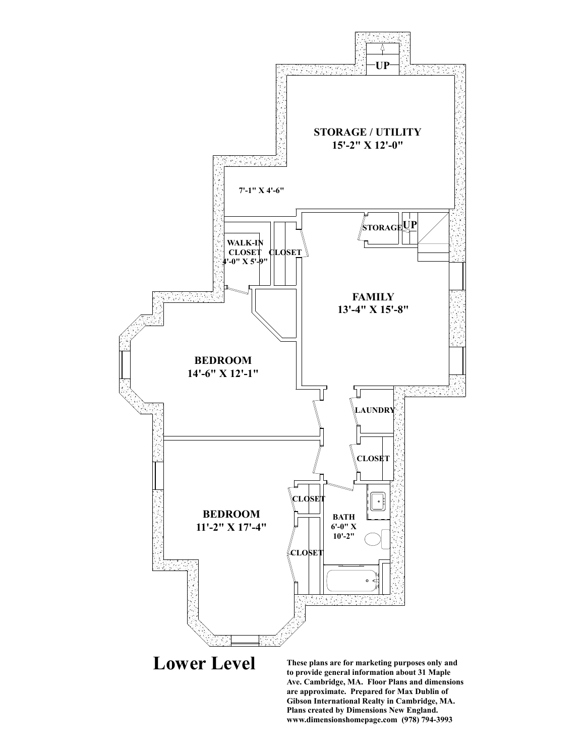

**Lower Level**

**These plans are for marketing purposes only and to provide general information about 31 Maple Ave. Cambridge, MA. Floor Plans and dimensions are approximate. Prepared for Max Dublin of Gibson International Realty in Cambridge, MA. Plans created by Dimensions New England. www.dimensionshomepage.com (978) 794-3993**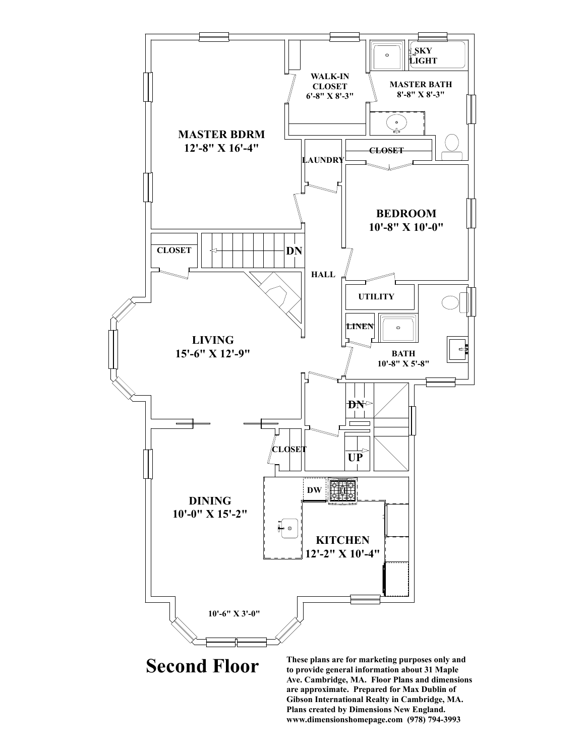

**Second Floor**

**These plans are for marketing purposes only and to provide general information about 31 Maple Ave. Cambridge, MA. Floor Plans and dimensions are approximate. Prepared for Max Dublin of Gibson International Realty in Cambridge, MA. Plans created by Dimensions New England. www.dimensionshomepage.com (978) 794-3993**